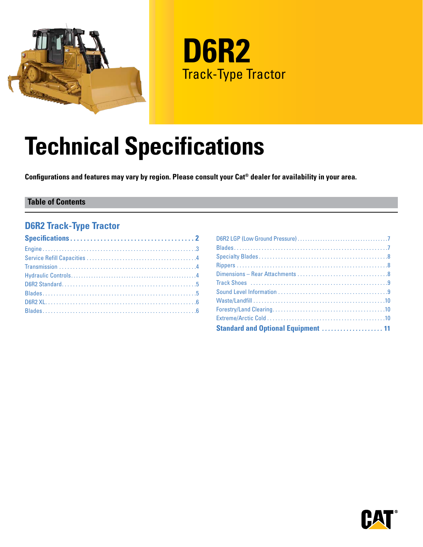

**D6R2** Track-Type Tractor

# **Technical Specifications**

**Configurations and features may vary by region. Please consult your Cat® dealer for availability in your area.**

#### **Table of Contents**

#### **D6R2 Track-Type Tractor**

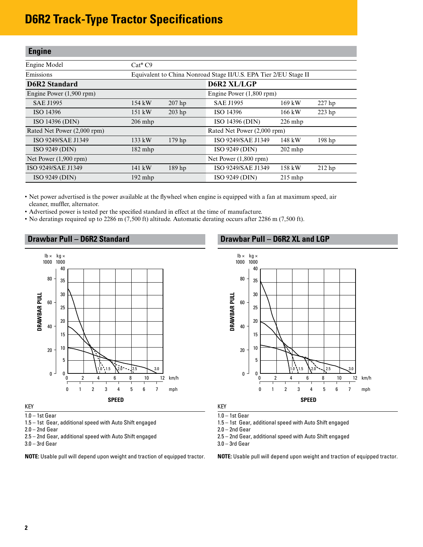#### <span id="page-1-0"></span>**Engine**

| Engine Model                | $Cat^{\circledast}C9$                                            |                   |                             |                  |                   |
|-----------------------------|------------------------------------------------------------------|-------------------|-----------------------------|------------------|-------------------|
| Emissions                   | Equivalent to China Nonroad Stage II/U.S. EPA Tier 2/EU Stage II |                   |                             |                  |                   |
| <b>D6R2</b> Standard        |                                                                  |                   | <b>D6R2 XL/LGP</b>          |                  |                   |
| Engine Power $(1,900$ rpm)  |                                                                  |                   | Engine Power (1,800 rpm)    |                  |                   |
| <b>SAE J1995</b>            | 154 kW                                                           | $207$ hp          | <b>SAE J1995</b>            | $169$ kW         | $227$ hp          |
| ISO 14396                   | 151 kW                                                           | $203$ hp          | ISO 14396                   | $166 \text{ kW}$ | $223$ hp          |
| ISO 14396 (DIN)             | $206$ mhp                                                        |                   | ISO 14396 (DIN)             | $226$ mhp        |                   |
| Rated Net Power (2,000 rpm) |                                                                  |                   | Rated Net Power (2,000 rpm) |                  |                   |
| ISO 9249/SAE J1349          | 133 kW                                                           | $179$ hp          | ISO 9249/SAE J1349          | 148 kW           | 198 <sub>hp</sub> |
| ISO 9249 (DIN)              | $182$ mhp                                                        |                   | ISO 9249 (DIN)              | $202$ mhp        |                   |
| Net Power $(1,900$ rpm $)$  |                                                                  |                   | Net Power $(1,800$ rpm)     |                  |                   |
| ISO 9249/SAE J1349          | 141 kW                                                           | 189 <sub>hp</sub> | ISO 9249/SAE J1349          | 158 kW           | 212 <sub>hp</sub> |
| ISO 9249 (DIN)              | $192$ mhp                                                        |                   | ISO 9249 (DIN)              | $215$ mhp        |                   |

• Net power advertised is the power available at the flywheel when engine is equipped with a fan at maximum speed, air cleaner, muffler, alternator.

• Advertised power is tested per the specified standard in effect at the time of manufacture.

• No deratings required up to 2286 m (7,500 ft) altitude. Automatic derating occurs after 2286 m (7,500 ft).

#### **Drawbar Pull – D6R2 Standard**



KEY

1.0 – 1st Gear

1.5 – 1st Gear, additional speed with Auto Shift engaged

2.0 – 2nd Gear

2.5 – 2nd Gear, additional speed with Auto Shift engaged

3.0 – 3rd Gear

**NOTE:** Usable pull will depend upon weight and traction of equipped tractor.

#### **Drawbar Pull – D6R2 XL and LGP**



KEY

1.0 – 1st Gear

1.5 – 1st Gear, additional speed with Auto Shift engaged

2.0 – 2nd Gear

2.5 – 2nd Gear, additional speed with Auto Shift engaged

3.0 – 3rd Gear

**NOTE:** Usable pull will depend upon weight and traction of equipped tractor.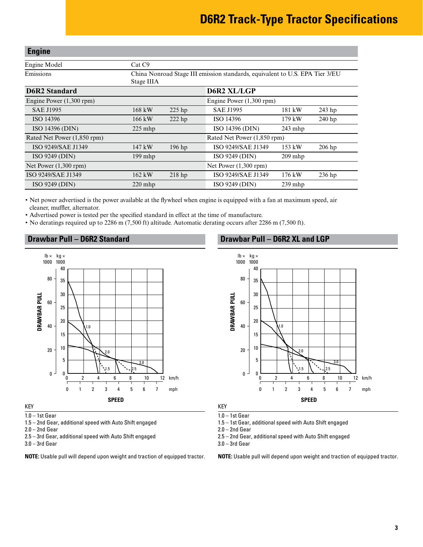#### <span id="page-2-0"></span>**Engine**

| <b>D6R2 Standard</b> | D6R2 XL/LGP                                                                                |
|----------------------|--------------------------------------------------------------------------------------------|
| Emissions            | China Nonroad Stage III emission standards, equivalent to U.S. EPA Tier 3/EU<br>Stage IIIA |
| Engine Model         | Cat C9                                                                                     |
|                      |                                                                                            |

| Engine Power $(1,300$ rpm)  |           |                             | Engine Power $(1,300$ rpm) |           |          |
|-----------------------------|-----------|-----------------------------|----------------------------|-----------|----------|
| <b>SAE J1995</b>            | 168 kW    | $225$ hp                    | <b>SAE J1995</b>           | 181 kW    | 243 hp   |
| ISO 14396                   | 166 kW    | $222$ hp                    | ISO 14396                  | 179 kW    | 240 hp   |
| <b>ISO 14396 (DIN)</b>      | $225$ mhp |                             | ISO 14396 (DIN)            | $243$ mhp |          |
| Rated Net Power (1,850 rpm) |           | Rated Net Power (1,850 rpm) |                            |           |          |
| ISO 9249/SAE J1349          | 147 kW    | $196$ hp                    | ISO 9249/SAE J1349         | 153 kW    | $206$ hp |
| ISO 9249 (DIN)              | $199$ mhp |                             | ISO 9249 (DIN)             | $209$ mhp |          |
| Net Power $(1,300$ rpm)     |           |                             | Net Power $(1,300$ rpm)    |           |          |
| ISO 9249/SAE J1349          | 162 kW    | 218 <sub>hp</sub>           | ISO 9249/SAE J1349         | $176$ kW  | $236$ hp |
| ISO 9249 (DIN)              | $220$ mhp |                             | ISO 9249 (DIN)             | $239$ mhp |          |

• Net power advertised is the power available at the flywheel when engine is equipped with a fan at maximum speed, air cleaner, muffler, alternator.

• Advertised power is tested per the specified standard in effect at the time of manufacture.

• No deratings required up to 2286 m (7,500 ft) altitude. Automatic derating occurs after 2286 m (7,500 ft).



KEY

1.0 – 1st Gear

1.5 – 2nd Gear, additional speed with Auto Shift engaged

2.0 – 2nd Gear

2.5 – 3rd Gear, additional speed with Auto Shift engaged

3.0 – 3rd Gear

**NOTE:** Usable pull will depend upon weight and traction of equipped tractor.

#### **Drawbar Pull – D6R2 Standard Drawbar Pull – D6R2 XL and LGP**



KEY

1.0 – 1st Gear

1.5 – 1st Gear, additional speed with Auto Shift engaged

 $2.0 - 2$ nd Gear

2.5 – 2nd Gear, additional speed with Auto Shift engaged

3.0 – 3rd Gear

**NOTE:** Usable pull will depend upon weight and traction of equipped tractor.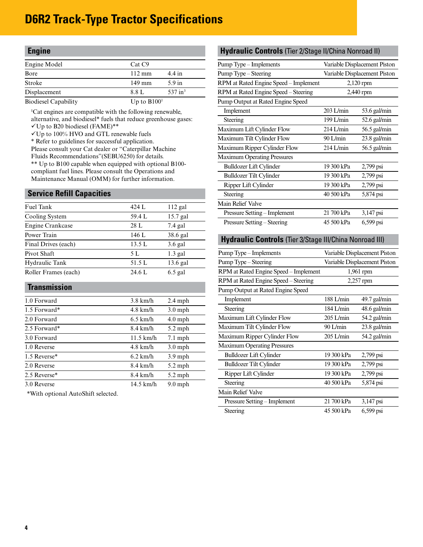<span id="page-3-0"></span>

| <b>Engine</b>               |                    |                    |
|-----------------------------|--------------------|--------------------|
| Engine Model                | Cat C <sub>9</sub> |                    |
| Bore                        | $112 \text{ mm}$   | $4.4$ in           |
| <b>Stroke</b>               | 149 mm             | $5.9$ in           |
| Displacement                | 8.8 L              | $537 \text{ in}^3$ |
| <b>Biodiesel Capability</b> | Up to $B1001$      |                    |

<sup>1</sup>Cat engines are compatible with the following renewable, alternative, and biodiesel\* fuels that reduce greenhouse gases:

- Up to B20 biodiesel (FAME)\*\*
- Up to 100% HVO and GTL renewable fuels
- \* Refer to guidelines for successful application.

Please consult your Cat dealer or "Caterpillar Machine Fluids Recommendations"(SEBU6250) for details. \*\* Up to B100 capable when equipped with optional B100 compliant fuel lines. Please consult the Operations and Maintenance Manual (OMM) for further information.

#### **Service Refill Capacities**

| Fuel Tank            | 424 L  | $112$ gal  |
|----------------------|--------|------------|
| Cooling System       | 59.4 L | 15.7 gal   |
| Engine Crankcase     | 28 L   | $7.4$ gal  |
| Power Train          | 146 L  | 38.6 gal   |
| Final Drives (each)  | 13.5L  | $3.6$ gal  |
| Pivot Shaft          | 5 L    | $1.3$ gal  |
| Hydraulic Tank       | 51.5 L | $13.6$ gal |
| Roller Frames (each) | 24.6 L | $6.5$ gal  |
|                      |        |            |

#### **Transmission**

| 1.0 Forward  | $3.8$ km/h          | $2.4$ mph         |
|--------------|---------------------|-------------------|
| 1.5 Forward* | $4.8$ km/h          | $3.0$ mph         |
| 2.0 Forward  | $6.5$ km/h          | $4.0$ mph         |
| 2.5 Forward* | $8.4 \text{ km/h}$  | $5.2$ mph         |
| 3.0 Forward  | $11.5 \text{ km/h}$ | $7.1 \text{ mph}$ |
| 1.0 Reverse  | $4.8$ km/h          | $3.0$ mph         |
| 1.5 Reverse* | $6.2$ km/h          | $3.9$ mph         |
| 2.0 Reverse  | $8.4 \text{ km/h}$  | $5.2$ mph         |
| 2.5 Reverse* | $8.4 \text{ km/h}$  | $5.2$ mph         |
| 3.0 Reverse  | $14.5$ km/h         | $9.0$ mph         |

\*With optional AutoShift selected.

#### **Hydraulic Controls** (Tier 2/Stage II/China Nonroad II)

| Pump Type – Implements                               | Variable Displacement Piston |                |  |  |
|------------------------------------------------------|------------------------------|----------------|--|--|
| Variable Displacement Piston<br>Pump Type – Steering |                              |                |  |  |
| RPM at Rated Engine Speed – Implement                |                              | $2,120$ rpm    |  |  |
| RPM at Rated Engine Speed – Steering                 |                              | 2,440 rpm      |  |  |
| Pump Output at Rated Engine Speed                    |                              |                |  |  |
| Implement                                            | $203$ L/min                  | 53.6 gal/min   |  |  |
| Steering                                             | 199 L/min                    | $52.6$ gal/min |  |  |
| Maximum Lift Cylinder Flow                           | $214$ L/min                  | $56.5$ gal/min |  |  |
| Maximum Tilt Cylinder Flow                           | $90$ L/min                   | $23.8$ gal/min |  |  |
| Maximum Ripper Cylinder Flow                         | $214$ L/min                  | $56.5$ gal/min |  |  |
| <b>Maximum Operating Pressures</b>                   |                              |                |  |  |
| <b>Bulldozer Lift Cylinder</b>                       | 19 300 kPa                   | 2,799 psi      |  |  |
| <b>Bulldozer Tilt Cylinder</b>                       | 19 300 kPa                   | 2,799 psi      |  |  |
| Ripper Lift Cylinder                                 | 19 300 kPa                   | 2,799 psi      |  |  |
| Steering                                             | 40 500 kPa                   | 5,874 psi      |  |  |
| Main Relief Valve                                    |                              |                |  |  |
| Pressure Setting – Implement                         | 21 700 kPa                   | 3,147 psi      |  |  |
| Pressure Setting – Steering                          | 45 500 kPa                   | 6,599 psi      |  |  |

#### **Hydraulic Controls** (Tier 3/Stage III/China Nonroad III)

| Pump Type - Implements                | Variable Displacement Piston |                |  |  |
|---------------------------------------|------------------------------|----------------|--|--|
| Pump Type – Steering                  | Variable Displacement Piston |                |  |  |
| RPM at Rated Engine Speed – Implement |                              | 1,961 rpm      |  |  |
| RPM at Rated Engine Speed - Steering  |                              | 2,257 rpm      |  |  |
| Pump Output at Rated Engine Speed     |                              |                |  |  |
| Implement                             | 188 L/min                    | $49.7$ gal/min |  |  |
| Steering                              | 184 L/min                    | $48.6$ gal/min |  |  |
| Maximum Lift Cylinder Flow            | $205$ L/min                  | $54.2$ gal/min |  |  |
| Maximum Tilt Cylinder Flow            | $90$ L/min                   | $23.8$ gal/min |  |  |
| Maximum Ripper Cylinder Flow          | $205$ L/min                  | 54.2 gal/min   |  |  |
| <b>Maximum Operating Pressures</b>    |                              |                |  |  |
| <b>Bulldozer Lift Cylinder</b>        | 19 300 kPa                   | $2,799$ psi    |  |  |
| <b>Bulldozer Tilt Cylinder</b>        | 19 300 kPa                   | 2,799 psi      |  |  |
| Ripper Lift Cylinder                  | 19 300 kPa                   | 2,799 psi      |  |  |
| Steering                              | 40 500 kPa                   | 5,874 psi      |  |  |
| Main Relief Valve                     |                              |                |  |  |
| Pressure Setting – Implement          | 21 700 kPa                   | 3,147 psi      |  |  |
| Steering                              | 45 500 kPa                   | $6,599$ psi    |  |  |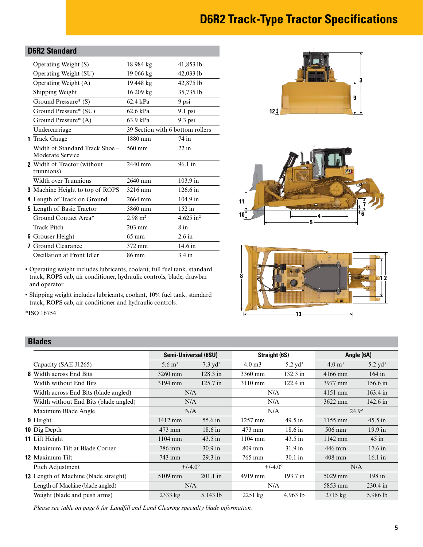#### <span id="page-4-0"></span>**D6R2 Standard**

| Operating Weight (S)                               | 18 984 kg                        | 41,853 lb             |
|----------------------------------------------------|----------------------------------|-----------------------|
| Operating Weight (SU)                              | 19 066 kg                        | 42,033 lb             |
| Operating Weight (A)                               | 19 448 kg                        | 42,875 lb             |
| Shipping Weight                                    | 16 209 kg                        | 35,735 lb             |
| Ground Pressure* (S)                               | 62.4 kPa                         | 9 psi                 |
| Ground Pressure* (SU)                              | $62.6$ kPa                       | $9.1$ psi             |
| Ground Pressure* (A)                               | 63.9 kPa                         | $9.3$ psi             |
| Undercarriage                                      | 39 Section with 6 bottom rollers |                       |
| <b>1</b> Track Gauge                               | 1880 mm                          | 74 in                 |
| Width of Standard Track Shoe –<br>Moderate Service | 560 mm                           | $22$ in               |
| 2 Width of Tractor (without<br>trunnions)          | 2440 mm                          | 96.1 in               |
| Width over Trunnions                               | 2640 mm                          | $103.9 \text{ in}$    |
| <b>3</b> Machine Height to top of ROPS             | 3216 mm                          | $126.6 \text{ in}$    |
| 4 Length of Track on Ground                        | 2664 mm                          | 104.9 in              |
| <b>5</b> Length of Basic Tractor                   | 3860 mm                          | $152$ in              |
| Ground Contact Area*                               | $2.98 \text{ m}^2$               | 4,625 in <sup>2</sup> |
| Track Pitch                                        | $203$ mm                         | $8$ in                |
| <b>6</b> Grouser Height                            | $65 \text{ mm}$                  | $2.6$ in              |
| <b>7</b> Ground Clearance                          | 372 mm                           | $14.6$ in             |
| Oscillation at Front Idler                         | 86 mm                            | $3.4 \text{ in}$      |







• Operating weight includes lubricants, coolant, full fuel tank, standard track, ROPS cab, air conditioner, hydraulic controls, blade, drawbar and operator.

• Shipping weight includes lubricants, coolant, 10% fuel tank, standard track, ROPS cab, air conditioner and hydraulic controls.

\*ISO 16754

#### **Blades**

|                                              |                      | Semi-Universal (6SU) |                   | <b>Straight (6S)</b> |                   | Angle (6A)         |  |
|----------------------------------------------|----------------------|----------------------|-------------------|----------------------|-------------------|--------------------|--|
| Capacity (SAE J1265)                         | $5.6 \,\mathrm{m}^3$ | $7.3 \text{ yd}^3$   | 4.0 <sub>m3</sub> | $5.2 \text{ yd}^3$   | $4.0 \text{ m}^3$ | $5.2 \text{ yd}^3$ |  |
| <b>8</b> Width across End Bits               | $3260$ mm            | $128.3$ in           | 3360 mm           | $132.3$ in           | $4166$ mm         | $164$ in           |  |
| Width without End Bits                       | 3194 mm              | $125.7 \text{ in}$   | 3110 mm           | $122.4$ in           | 3977 mm           | $156.6 \text{ in}$ |  |
| Width across End Bits (blade angled)         | N/A                  |                      | N/A               |                      | 4151 mm           | $163.4 \text{ in}$ |  |
| Width without End Bits (blade angled)        | N/A                  |                      | N/A               |                      | 3622 mm           | 142.6 in           |  |
| Maximum Blade Angle                          | N/A                  |                      | N/A               |                      | $24.9^{\circ}$    |                    |  |
| 9 Height                                     | 1412 mm              | 55.6 in              | 1257 mm           | $49.5$ in            | 1155 mm           | $45.5$ in          |  |
| 10 Dig Depth                                 | $473$ mm             | $18.6 \text{ in}$    | 473 mm            | $18.6 \text{ in}$    | 506 mm            | $19.9 \text{ in}$  |  |
| 11 Lift Height                               | $1104$ mm            | $43.5 \text{ in}$    | $1104 \text{ mm}$ | $43.5$ in            | 1142 mm           | $45$ in            |  |
| Maximum Tilt at Blade Corner                 | 786 mm               | $30.9$ in            | 809 mm            | $31.9$ in            | 446 mm            | $17.6$ in          |  |
| <b>12 Maximum Tilt</b>                       | 743 mm               | $29.3 \text{ in}$    | 765 mm            | $30.1$ in            | $408$ mm          | $16.1 \text{ in}$  |  |
| Pitch Adjustment                             |                      | $+/-4.0^{\circ}$     | $+/-4.0^{\circ}$  |                      | N/A               |                    |  |
| <b>13</b> Length of Machine (blade straight) | 5109 mm              | $201.1$ in           | 4919 mm           | 193.7 in             | 5029 mm           | $198$ in           |  |
| Length of Machine (blade angled)             | N/A                  |                      | N/A               |                      | 5853 mm           | $230.4 \text{ in}$ |  |
| Weight (blade and push arms)                 | $2333$ kg            | $5,143$ lb           | $2251 \text{ kg}$ | 4,963 lb             | $2715 \text{ kg}$ | 5,986 lb           |  |

*Please see table on page 8 for Landfill and Land Clearing specialty blade information.*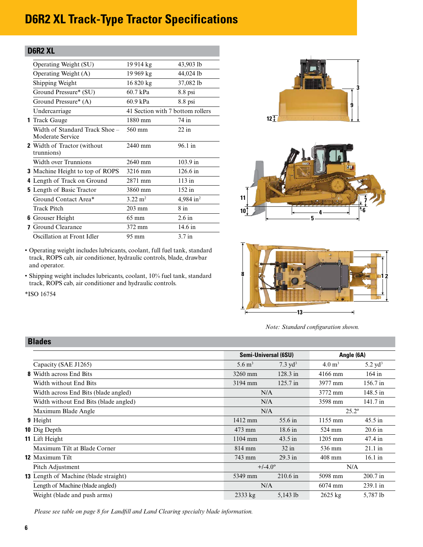#### <span id="page-5-0"></span>**D6R2 XL**

| Operating Weight (SU)                              | 19 914 kg                        | 43,903 lb             |
|----------------------------------------------------|----------------------------------|-----------------------|
| Operating Weight (A)                               | 19 969 kg                        | 44,024 lb             |
| Shipping Weight                                    | 16 820 kg                        | 37,082 lb             |
| Ground Pressure* (SU)                              | 60.7 kPa                         | $8.8$ psi             |
| Ground Pressure* (A)                               | 60.9 kPa                         | 8.8 psi               |
| Undercarriage                                      | 41 Section with 7 bottom rollers |                       |
| <b>1</b> Track Gauge                               | 1880 mm                          | 74 in                 |
| Width of Standard Track Shoe -<br>Moderate Service | 560 mm                           | $22$ in               |
| <b>2</b> Width of Tractor (without<br>trunnions)   | $2440$ mm                        | 96.1 in               |
| Width over Trunnions                               | 2640 mm                          | $103.9$ in            |
| <b>3</b> Machine Height to top of ROPS             | 3216 mm                          | $126.6 \text{ in}$    |
| 4 Length of Track on Ground                        | 2871 mm                          | $113$ in              |
| <b>5</b> Length of Basic Tractor                   | 3860 mm                          | 152 in                |
| Ground Contact Area*                               | $3.22 \text{ m}^2$               | 4,984 in <sup>2</sup> |
| Track Pitch                                        | $203$ mm                         | $8$ in                |
| <b>6</b> Grouser Height                            | $65 \text{ mm}$                  | $2.6$ in              |
| <b>7</b> Ground Clearance                          | 372 mm                           | $14.6 \text{ in}$     |
| Oscillation at Front Idler                         | 95 mm                            | $3.7$ in              |

• Operating weight includes lubricants, coolant, full fuel tank, standard track, ROPS cab, air conditioner, hydraulic controls, blade, drawbar

• Shipping weight includes lubricants, coolant, 10% fuel tank, standard

track, ROPS cab, air conditioner and hydraulic controls.







*Note: Standard configuration shown.*

| DIGUGS                                |                      |                      |                   |                    |
|---------------------------------------|----------------------|----------------------|-------------------|--------------------|
|                                       |                      | Semi-Universal (6SU) |                   | Angle (6A)         |
| Capacity (SAE J1265)                  | $5.6 \,\mathrm{m}^3$ | $7.3 \text{ yd}^3$   | $4.0 \text{ m}^3$ | $5.2 \text{ yd}^3$ |
| <b>8</b> Width across End Bits        | 3260 mm              | $128.3$ in           | $4166$ mm         | $164$ in           |
| Width without End Bits                | 3194 mm              | $125.7 \text{ in}$   | 3977 mm           | 156.7 in           |
| Width across End Bits (blade angled)  | N/A                  |                      | 3772 mm           | 148.5 in           |
| Width without End Bits (blade angled) | N/A                  |                      | 3598 mm           | 141.7 in           |
| Maximum Blade Angle                   |                      | N/A                  |                   | $25.2^{\circ}$     |
| 9 Height                              | 1412 mm              | 55.6 in              | $1155 \text{ mm}$ | $45.5$ in          |
| 10 Dig Depth                          | $473$ mm             | $18.6 \text{ in}$    | 524 mm            | $20.6$ in          |
| 11 Lift Height                        | $1104$ mm            | $43.5$ in            | 1205 mm           | 47.4 in            |
| Maximum Tilt at Blade Corner          | $814 \text{ mm}$     | $32$ in              | 536 mm            | $21.1 \text{ in}$  |
| 12 Maximum Tilt                       | 743 mm               | $29.3 \text{ in}$    | $408$ mm          | $16.1$ in          |
| Pitch Adjustment                      | $+/-4.0^{\circ}$     |                      | N/A               |                    |
| 13 Length of Machine (blade straight) | 5349 mm              | $210.6$ in           | 5098 mm           | $200.7$ in         |
| Length of Machine (blade angled)      | N/A                  |                      | $6074$ mm         | $239.1 \text{ in}$ |
| Weight (blade and push arms)          | $2333 \text{ kg}$    | 5,143 lb             | $2625$ kg         | 5,787 lb           |

*Please see table on page 8 for Landfill and Land Clearing specialty blade information.*

#### **Blades**

and operator.

\*ISO 16754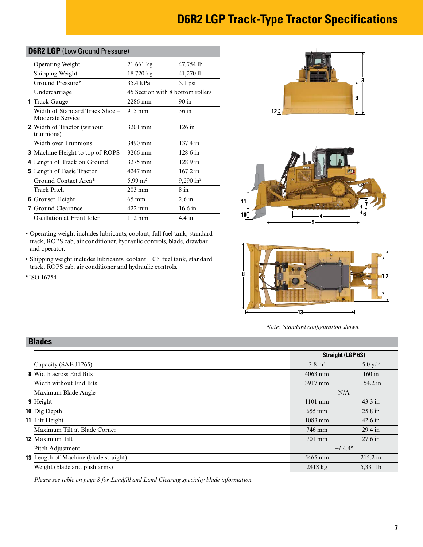#### <span id="page-6-0"></span>**D6R2 LGP** (Low Ground Pressure)

| <b>Operating Weight</b>                            | 21 661 kg                        | 47,754 lb               |
|----------------------------------------------------|----------------------------------|-------------------------|
| Shipping Weight                                    | 18 720 kg                        | 41,270 lb               |
| Ground Pressure*                                   | 35.4 kPa                         | 5.1 psi                 |
| Undercarriage                                      | 45 Section with 8 bottom rollers |                         |
| <b>1</b> Track Gauge                               | 2286 mm                          | $90 \text{ in}$         |
| Width of Standard Track Shoe –<br>Moderate Service | $915 \text{ mm}$                 | 36 in                   |
| <b>2</b> Width of Tractor (without<br>trunnions)   | 3201 mm                          | $126$ in                |
| Width over Trunnions                               | 3490 mm                          | 137.4 in                |
| <b>3</b> Machine Height to top of ROPS             | 3266 mm                          | $128.6 \text{ in}$      |
| 4 Length of Track on Ground                        | 3275 mm                          | 128.9 in                |
| <b>5</b> Length of Basic Tractor                   | 4247 mm                          | 167.2 in                |
| Ground Contact Area*                               | $5.99 \text{ m}^2$               | $9,290$ in <sup>2</sup> |
| Track Pitch                                        | $203 \text{ mm}$                 | $8$ in                  |
| <b>6</b> Grouser Height                            | $65 \text{ mm}$                  | $2.6$ in                |
| Ground Clearance                                   | 422 mm                           | $16.6$ in               |
| Oscillation at Front Idler                         | $112 \text{ mm}$                 | $4.4 \text{ in}$        |

• Operating weight includes lubricants, coolant, full fuel tank, standard track, ROPS cab, air conditioner, hydraulic controls, blade, drawbar and operator.

• Shipping weight includes lubricants, coolant, 10% fuel tank, standard track, ROPS cab, air conditioner and hydraulic controls.

\*ISO 16754

**Blades**







*Note: Standard configuration shown.*

| DIAUGS                                       |                   |                          |
|----------------------------------------------|-------------------|--------------------------|
|                                              |                   | <b>Straight (LGP 6S)</b> |
| Capacity (SAE J1265)                         | $3.8 \text{ m}^3$ | $5.0 \text{ yd}^3$       |
| <b>8</b> Width across End Bits               | $4063$ mm         | $160$ in                 |
| Width without End Bits                       | 3917 mm           | $154.2 \text{ in}$       |
| Maximum Blade Angle                          |                   | N/A                      |
| 9 Height                                     | $1101$ mm         | $43.3 \text{ in}$        |
| <b>10</b> Dig Depth                          | $655 \text{ mm}$  | $25.8$ in                |
| 11 Lift Height                               | $1083$ mm         | $42.6$ in                |
| Maximum Tilt at Blade Corner                 | 746 mm            | $29.4 \text{ in}$        |
| <b>12 Maximum Tilt</b>                       | $701$ mm          | $27.6$ in                |
| Pitch Adjustment                             |                   | $+/-4.4^{\circ}$         |
| <b>13</b> Length of Machine (blade straight) | 5465 mm           | $215.2 \text{ in}$       |
| Weight (blade and push arms)                 | $2418$ kg         | 5,331 lb                 |

*Please see table on page 8 for Landfill and Land Clearing specialty blade information.*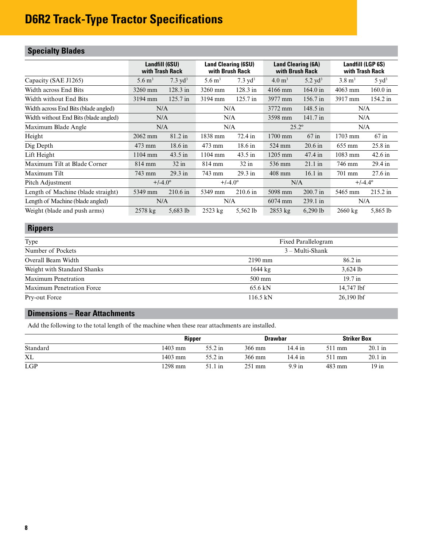### <span id="page-7-0"></span>**Specialty Blades**

|                                       | Landfill (6SU)<br>with Trash Rack |                    | <b>Land Clearing (6SU)</b><br>with Brush Rack |                    | <b>Land Clearing (6A)</b><br>with Brush Rack |                    | Landfill (LGP 6S)<br>with Trash Rack |                    |  |
|---------------------------------------|-----------------------------------|--------------------|-----------------------------------------------|--------------------|----------------------------------------------|--------------------|--------------------------------------|--------------------|--|
| Capacity (SAE J1265)                  | $5.6 \,\mathrm{m}^3$              | $7.3 \text{ yd}^3$ | $5.6 \,\mathrm{m}^3$                          | $7.3 \text{ vd}^3$ | $4.0 \text{ m}^3$                            | 5.2 $yd^3$         | $3.8 \text{ m}^3$                    | $5 \text{ yd}^3$   |  |
| Width across End Bits                 | 3260 mm                           | $128.3$ in         | 3260 mm                                       | $128.3$ in         | $4166$ mm                                    | $164.0 \text{ in}$ | $4063$ mm                            | 160.0 in           |  |
| Width without End Bits                | 3194 mm                           | $125.7 \text{ in}$ | 3194 mm                                       | $125.7 \text{ in}$ | 3977 mm                                      | $156.7$ in         | 3917 mm                              | 154.2 in           |  |
| Width across End Bits (blade angled)  | N/A                               |                    | N/A                                           |                    | 3772 mm                                      | 148.5 in           | N/A                                  |                    |  |
| Width without End Bits (blade angled) | N/A                               |                    | N/A                                           |                    | 3598 mm                                      | $141.7 \text{ in}$ | N/A                                  |                    |  |
| Maximum Blade Angle                   | N/A                               |                    | N/A                                           |                    | $25.2^{\circ}$                               |                    | N/A                                  |                    |  |
| Height                                | 2062 mm                           | 81.2 in            | 1838 mm                                       | $72.4 \text{ in}$  | 1700 mm                                      | $67$ in            | $1703$ mm                            | $67$ in            |  |
| Dig Depth                             | 473 mm                            | $18.6 \text{ in}$  | 473 mm                                        | $18.6 \text{ in}$  | 524 mm                                       | $20.6$ in          | 655 mm                               | $25.8$ in          |  |
| Lift Height                           | 1104 mm                           | $43.5$ in          | $1104$ mm                                     | $43.5$ in          | $1205$ mm                                    | $47.4 \text{ in}$  | 1083 mm                              | $42.6 \text{ in}$  |  |
| Maximum Tilt at Blade Corner          | $814 \text{ mm}$                  | $32$ in            | 814 mm                                        | $32$ in            | 536 mm                                       | $21.1$ in          | 746 mm                               | 29.4 in            |  |
| Maximum Tilt                          | 743 mm                            | $29.3$ in          | 743 mm                                        | $29.3 \text{ in}$  | $408$ mm                                     | $16.1 \text{ in}$  | 701 mm                               | $27.6$ in          |  |
| Pitch Adjustment                      | $+/-4.0^{\circ}$                  |                    | $+/-4.0^{\circ}$                              |                    | N/A                                          |                    | $+/-4.4^{\circ}$                     |                    |  |
| Length of Machine (blade straight)    | 5349 mm                           | $210.6 \text{ in}$ | 5349 mm                                       | $210.6$ in         | 5098 mm                                      | $200.7$ in         | 5465 mm                              | $215.2 \text{ in}$ |  |
| Length of Machine (blade angled)      | N/A                               |                    | N/A                                           |                    | 6074 mm                                      | 239.1 in           | N/A                                  |                    |  |
| Weight (blade and push arms)          | $2578$ kg                         | 5,683 $1b$         | $2523 \text{ kg}$                             | 5.562 lb           | $2853 \text{ kg}$                            | $6,290$ lb         | $2660 \text{ kg}$                    | 5,865 lb           |  |

#### **Rippers**

| Type                             | Fixed Parallelogram |                   |
|----------------------------------|---------------------|-------------------|
| Number of Pockets                | $3 - Multi-Shank$   |                   |
| Overall Beam Width               | $2190$ mm           | $86.2 \text{ in}$ |
| Weight with Standard Shanks      | $1644 \text{ kg}$   | $3,624$ lb        |
| Maximum Penetration              | 500 mm              | $19.7$ in         |
| <b>Maximum Penetration Force</b> | $65.6 \text{ kN}$   | 14,747 lbf        |
| Pry-out Force                    | $116.5 \text{ kN}$  | $26,190$ lbf      |

#### **Dimensions – Rear Attachments**

Add the following to the total length of the machine when these rear attachments are installed.

|            | <b>Ripper</b> |         | <b>Drawbar</b> |                  | <b>Striker Box</b> |           |
|------------|---------------|---------|----------------|------------------|--------------------|-----------|
| Standard   | 1403 mm       | 55.2 in | 366 mm         | 14.4 in          | 511 mm             | $20.1$ in |
| <b>XL</b>  | 1403 mm       | 55.2 in | 366 mm         | 14.4 in          | 511 mm             | $20.1$ in |
| <b>LGP</b> | 1298 mm       | 51.1 in | 251 mm         | $9.9 \text{ in}$ | 483 mm             | $19$ in   |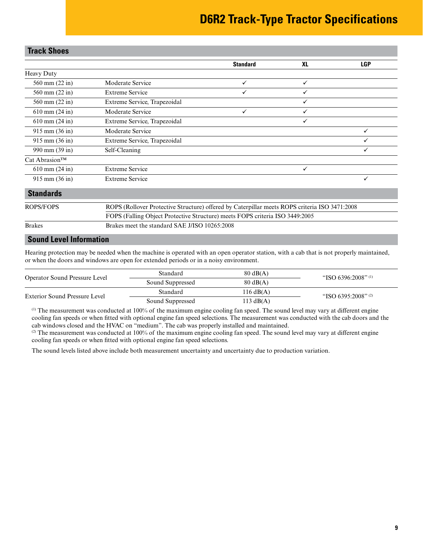<span id="page-8-0"></span>

| <b>Track Shoes</b>                                                                                                |                                               |                                                                              |              |            |  |  |  |  |
|-------------------------------------------------------------------------------------------------------------------|-----------------------------------------------|------------------------------------------------------------------------------|--------------|------------|--|--|--|--|
|                                                                                                                   |                                               | <b>Standard</b>                                                              | <b>XL</b>    | <b>LGP</b> |  |  |  |  |
| <b>Heavy Duty</b>                                                                                                 |                                               |                                                                              |              |            |  |  |  |  |
| 560 mm (22 in)                                                                                                    | Moderate Service                              | $\checkmark$                                                                 | $\checkmark$ |            |  |  |  |  |
| 560 mm (22 in)                                                                                                    | <b>Extreme Service</b>                        | ✓                                                                            | ✓            |            |  |  |  |  |
| 560 mm (22 in)                                                                                                    | Extreme Service, Trapezoidal                  |                                                                              | ✓            |            |  |  |  |  |
| $610$ mm $(24$ in)                                                                                                | Moderate Service                              | $\checkmark$                                                                 | $\checkmark$ |            |  |  |  |  |
| $610$ mm $(24$ in)                                                                                                | Extreme Service, Trapezoidal                  |                                                                              | $\checkmark$ |            |  |  |  |  |
| 915 mm (36 in)                                                                                                    | Moderate Service                              |                                                                              |              | ✓          |  |  |  |  |
| $915 \text{ mm} (36 \text{ in})$                                                                                  | Extreme Service, Trapezoidal                  |                                                                              |              |            |  |  |  |  |
| 990 mm (39 in)                                                                                                    | Self-Cleaning                                 |                                                                              |              | ✓          |  |  |  |  |
| Cat Abrasion™                                                                                                     |                                               |                                                                              |              |            |  |  |  |  |
| $610$ mm $(24$ in)                                                                                                | <b>Extreme Service</b>                        |                                                                              | $\checkmark$ |            |  |  |  |  |
| 915 mm (36 in)                                                                                                    | <b>Extreme Service</b>                        |                                                                              |              | ✓          |  |  |  |  |
| <b>Standards</b>                                                                                                  |                                               |                                                                              |              |            |  |  |  |  |
| ROPS (Rollover Protective Structure) offered by Caterpillar meets ROPS criteria ISO 3471:2008<br><b>ROPS/FOPS</b> |                                               |                                                                              |              |            |  |  |  |  |
|                                                                                                                   |                                               | FOPS (Falling Object Protective Structure) meets FOPS criteria ISO 3449:2005 |              |            |  |  |  |  |
| <b>Brakes</b>                                                                                                     | Brakes meet the standard SAE J/ISO 10265:2008 |                                                                              |              |            |  |  |  |  |
| Cound Lough Information                                                                                           |                                               |                                                                              |              |            |  |  |  |  |

#### **Sound Level Information**

Hearing protection may be needed when the machine is operated with an open operator station, with a cab that is not properly maintained, or when the doors and windows are open for extended periods or in a noisy environment.

| Operator Sound Pressure Level | Standard                               | $80 \text{ dB}(A)$ | "ISO 6396:2008" <sup>(1)</sup> |
|-------------------------------|----------------------------------------|--------------------|--------------------------------|
|                               | $80 \text{ dB}(A)$<br>Sound Suppressed |                    |                                |
| Exterior Sound Pressure Level | Standard                               | 116 $dB(A)$        | "ISO 6395:2008" <sup>(2)</sup> |
|                               | Sound Suppressed                       | 113 $dB(A)$        |                                |

(1) The measurement was conducted at 100% of the maximum engine cooling fan speed. The sound level may vary at different engine cooling fan speeds or when fitted with optional engine fan speed selections. The measurement was conducted with the cab doors and the cab windows closed and the HVAC on "medium". The cab was properly installed and maintained.

 $^{(2)}$  The measurement was conducted at 100% of the maximum engine cooling fan speed. The sound level may vary at different engine cooling fan speeds or when fitted with optional engine fan speed selections.

The sound levels listed above include both measurement uncertainty and uncertainty due to production variation.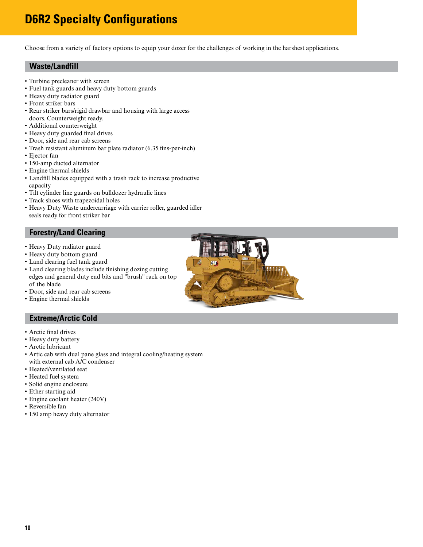### <span id="page-9-0"></span>**D6R2 Specialty Configurations**

Choose from a variety of factory options to equip your dozer for the challenges of working in the harshest applications.

#### **Waste/Landfill**

- Turbine precleaner with screen
- Fuel tank guards and heavy duty bottom guards
- Heavy duty radiator guard
- Front striker bars
- Rear striker bars/rigid drawbar and housing with large access
- doors. Counterweight ready. • Additional counterweight
- Heavy duty guarded final drives
- Door, side and rear cab screens
- Trash resistant aluminum bar plate radiator (6.35 fins-per-inch)
- Ejector fan
- 150-amp ducted alternator
- Engine thermal shields
- Landfill blades equipped with a trash rack to increase productive capacity
- Tilt cylinder line guards on bulldozer hydraulic lines
- Track shoes with trapezoidal holes
- Heavy Duty Waste undercarriage with carrier roller, guarded idler seals ready for front striker bar

#### **Forestry/Land Clearing**

- Heavy Duty radiator guard
- Heavy duty bottom guard
- Land clearing fuel tank guard
- Land clearing blades include finishing dozing cutting edges and general duty end bits and "brush" rack on top of the blade
- Door, side and rear cab screens
- Engine thermal shields

#### **Extreme/Arctic Cold**

- Arctic final drives
- Heavy duty battery
- Arctic lubricant
- Artic cab with dual pane glass and integral cooling/heating system with external cab A/C condenser
- Heated/ventilated seat
- Heated fuel system
- Solid engine enclosure
- Ether starting aid
- Engine coolant heater (240V)
- Reversible fan
- 150 amp heavy duty alternator

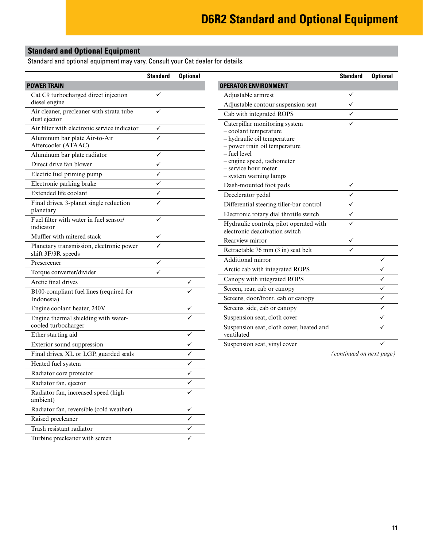#### <span id="page-10-0"></span>**Standard and Optional Equipment**

Standard and optional equipment may vary. Consult your Cat dealer for details.

|                                                                | <b>Standard</b> | <b>Optional</b> |                                                                                       | <b>Standard</b>          | <b>Optional</b> |
|----------------------------------------------------------------|-----------------|-----------------|---------------------------------------------------------------------------------------|--------------------------|-----------------|
| <b>POWER TRAIN</b>                                             |                 |                 | <b>OPERATOR ENVIRONMENT</b>                                                           |                          |                 |
| Cat C9 turbocharged direct injection                           | ✓               |                 | Adjustable armrest                                                                    | ✓                        |                 |
| diesel engine                                                  |                 |                 | Adjustable contour suspension seat                                                    | ✓                        |                 |
| Air cleaner, precleaner with strata tube<br>dust ejector       | ✓               |                 | Cab with integrated ROPS                                                              | ✓                        |                 |
| Air filter with electronic service indicator                   | $\checkmark$    |                 | Caterpillar monitoring system                                                         | $\checkmark$             |                 |
| Aluminum bar plate Air-to-Air<br>Aftercooler (ATAAC)           | ✓               |                 | - coolant temperature<br>- hydraulic oil temperature<br>- power train oil temperature |                          |                 |
| Aluminum bar plate radiator                                    | $\checkmark$    |                 | - fuel level                                                                          |                          |                 |
| Direct drive fan blower                                        | ✓               |                 | - engine speed, tachometer<br>- service hour meter                                    |                          |                 |
| Electric fuel priming pump                                     | ✓               |                 | - system warning lamps                                                                |                          |                 |
| Electronic parking brake                                       | ✓               |                 | Dash-mounted foot pads                                                                | ✓                        |                 |
| Extended life coolant                                          | ✓               |                 | Decelerator pedal                                                                     | ✓                        |                 |
| Final drives, 3-planet single reduction                        | ✓               |                 | Differential steering tiller-bar control                                              | $\checkmark$             |                 |
| planetary                                                      |                 |                 | Electronic rotary dial throttle switch                                                | $\checkmark$             |                 |
| Fuel filter with water in fuel sensor/<br>indicator            | ✓               |                 | Hydraulic controls, pilot operated with<br>electronic deactivation switch             | ✓                        |                 |
| Muffler with mitered stack                                     | ✓               |                 | Rearview mirror                                                                       | ✓                        |                 |
| Planetary transmission, electronic power<br>shift 3F/3R speeds | ✓               |                 | Retractable 76 mm (3 in) seat belt                                                    | ✓                        |                 |
| Prescreener                                                    | $\checkmark$    |                 | Additional mirror                                                                     |                          | ✓               |
| Torque converter/divider                                       | ✓               |                 | Arctic cab with integrated ROPS                                                       |                          | ✓               |
| Arctic final drives                                            |                 | ✓               | Canopy with integrated ROPS                                                           |                          | ✓               |
| B100-compliant fuel lines (required for<br>Indonesia)          |                 |                 | Screen, rear, cab or canopy<br>Screens, door/front, cab or canopy                     |                          | ✓<br>✓          |
| Engine coolant heater, 240V                                    |                 | ✓               | Screens, side, cab or canopy                                                          |                          | ✓               |
| Engine thermal shielding with water-                           |                 | ✓               | Suspension seat, cloth cover                                                          |                          | ✓               |
| cooled turbocharger                                            |                 |                 | Suspension seat, cloth cover, heated and                                              |                          |                 |
| Ether starting aid                                             |                 | ✓               | ventilated                                                                            |                          |                 |
| Exterior sound suppression                                     |                 | ✓               | Suspension seat, vinyl cover                                                          |                          |                 |
| Final drives, XL or LGP, guarded seals                         |                 | ✓               |                                                                                       | (continued on next page) |                 |
| Heated fuel system                                             |                 | ✓               |                                                                                       |                          |                 |
| Radiator core protector                                        |                 | ✓               |                                                                                       |                          |                 |
| Radiator fan, ejector                                          |                 |                 |                                                                                       |                          |                 |
| Radiator fan, increased speed (high<br>ambient)                |                 |                 |                                                                                       |                          |                 |
| Radiator fan, reversible (cold weather)                        |                 | ✓               |                                                                                       |                          |                 |
| Raised precleaner                                              |                 | ✓               |                                                                                       |                          |                 |
| Trash resistant radiator                                       |                 | ✓               |                                                                                       |                          |                 |
| Turbine precleaner with screen                                 |                 | ✓               |                                                                                       |                          |                 |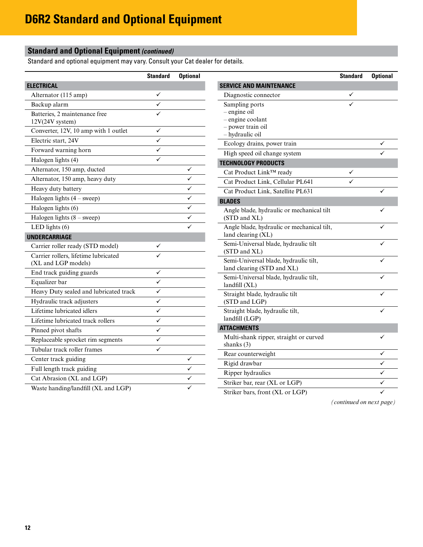#### **Standard and Optional Equipment** *(continued)*

Standard and optional equipment may vary. Consult your Cat dealer for details.

|                                                             | <b>Standard</b>         | <b>Optional</b> |
|-------------------------------------------------------------|-------------------------|-----------------|
| <b>ELECTRICAL</b>                                           |                         |                 |
| Alternator (115 amp)                                        |                         |                 |
| Backup alarm                                                | ✓                       |                 |
| Batteries, 2 maintenance free<br>12V(24V system)            |                         |                 |
| Converter, 12V, 10 amp with 1 outlet                        |                         |                 |
| Electric start, 24V                                         |                         |                 |
| Forward warning horn                                        |                         |                 |
| Halogen lights (4)                                          |                         |                 |
| Alternator, 150 amp, ducted                                 |                         |                 |
| Alternator, 150 amp, heavy duty                             |                         |                 |
| Heavy duty battery                                          |                         |                 |
| Halogen lights $(4 -$ sweep)                                |                         |                 |
| Halogen lights (6)                                          |                         |                 |
| Halogen lights $(8 -$ sweep)                                |                         |                 |
| LED lights $(6)$                                            |                         |                 |
| <b>UNDERCARRIAGE</b>                                        |                         |                 |
| Carrier roller ready (STD model)                            |                         |                 |
| Carrier rollers, lifetime lubricated<br>(XL and LGP models) |                         |                 |
| End track guiding guards                                    |                         |                 |
| Equalizer bar                                               |                         |                 |
| Heavy Duty sealed and lubricated track                      | $\overline{\checkmark}$ |                 |
| Hydraulic track adjusters                                   | ✓                       |                 |
| Lifetime lubricated idlers                                  | ✓                       |                 |
| Lifetime lubricated track rollers                           |                         |                 |
| Pinned pivot shafts                                         | ✓                       |                 |
| Replaceable sprocket rim segments                           |                         |                 |
| Tubular track roller frames                                 |                         |                 |
| Center track guiding                                        |                         |                 |
| Full length track guiding                                   |                         |                 |
| Cat Abrasion (XL and LGP)                                   |                         |                 |
| Waste handing/landfill (XL and LGP)                         |                         |                 |

|                                                                                            | <b>Standard</b> | <b>Optional</b> |
|--------------------------------------------------------------------------------------------|-----------------|-----------------|
| <b>SERVICE AND MAINTENANCE</b>                                                             |                 |                 |
| Diagnostic connector                                                                       |                 |                 |
| Sampling ports<br>- engine oil<br>- engine coolant<br>- power train oil<br>- hydraulic oil |                 |                 |
| Ecology drains, power train                                                                |                 |                 |
| High speed oil change system                                                               |                 |                 |
| <b>TECHNOLOGY PRODUCTS</b>                                                                 |                 |                 |
| Cat Product Link™ ready                                                                    |                 |                 |
| Cat Product Link, Cellular PL641                                                           |                 |                 |
| Cat Product Link, Satellite PL631                                                          |                 |                 |
| <b>BLADES</b>                                                                              |                 |                 |
| Angle blade, hydraulic or mechanical tilt<br>(STD and XL)                                  |                 |                 |
| Angle blade, hydraulic or mechanical tilt,<br>land clearing (XL)                           |                 |                 |
| Semi-Universal blade, hydraulic tilt<br>(STD and XL)                                       |                 |                 |
| Semi-Universal blade, hydraulic tilt,<br>land clearing (STD and XL)                        |                 |                 |
| Semi-Universal blade, hydraulic tilt,<br>landfill(XL)                                      |                 |                 |
| Straight blade, hydraulic tilt<br>(STD and LGP)                                            |                 |                 |
| Straight blade, hydraulic tilt,<br>landfill (LGP)                                          |                 |                 |
| <b>ATTACHMENTS</b>                                                                         |                 |                 |
| Multi-shank ripper, straight or curved<br>shanks $(3)$                                     |                 |                 |
| Rear counterweight                                                                         |                 |                 |
| Rigid drawbar                                                                              |                 |                 |
| Ripper hydraulics                                                                          |                 |                 |
| Striker bar, rear (XL or LGP)                                                              |                 |                 |
| $0.31 - 1 - 0.47$<br>$T \cap D$                                                            |                 |                 |

Striker bars, front (XL or LGP)

*(continued on next page)*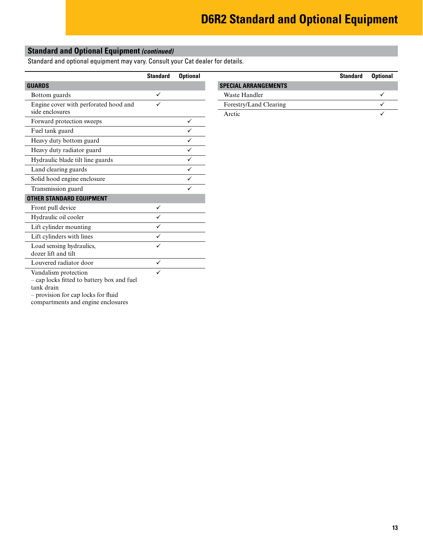#### **Standard and Optional Equipment** *(continued)*

Standard and optional equipment may vary. Consult your Cat dealer for details.

|                                                   | <b>Standard</b> | <b>Optional</b> |                             | <b>Standard</b> |
|---------------------------------------------------|-----------------|-----------------|-----------------------------|-----------------|
| <b>GUARDS</b>                                     |                 |                 | <b>SPECIAL ARRANGEMENTS</b> |                 |
| Bottom guards                                     | $\checkmark$    |                 | Waste Handler               |                 |
| Engine cover with perforated hood and             | $\checkmark$    |                 | Forestry/Land Clearing      |                 |
| side enclosures                                   |                 |                 | Arctic                      |                 |
| Forward protection sweeps                         |                 | ✓               |                             |                 |
| Fuel tank guard                                   |                 | ✓               |                             |                 |
| Heavy duty bottom guard                           |                 | $\checkmark$    |                             |                 |
| Heavy duty radiator guard                         |                 | $\checkmark$    |                             |                 |
| Hydraulic blade tilt line guards                  |                 | ✓               |                             |                 |
| Land clearing guards                              |                 | $\checkmark$    |                             |                 |
| Solid hood engine enclosure                       |                 | ✓               |                             |                 |
| Transmission guard                                |                 | $\checkmark$    |                             |                 |
| <b>OTHER STANDARD EQUIPMENT</b>                   |                 |                 |                             |                 |
| Front pull device                                 | ✓               |                 |                             |                 |
| Hydraulic oil cooler                              | $\checkmark$    |                 |                             |                 |
| Lift cylinder mounting                            | $\checkmark$    |                 |                             |                 |
| Lift cylinders with lines                         | $\checkmark$    |                 |                             |                 |
| Load sensing hydraulics,                          | $\checkmark$    |                 |                             |                 |
| dozer lift and tilt                               |                 |                 |                             |                 |
| Louvered radiator door                            | $\checkmark$    |                 |                             |                 |
| Vandalism protection                              |                 |                 |                             |                 |
| - cap locks fitted to battery box and fuel        |                 |                 |                             |                 |
| tank drain<br>- provision for cap locks for fluid |                 |                 |                             |                 |
| compartments and engine enclosures                |                 |                 |                             |                 |